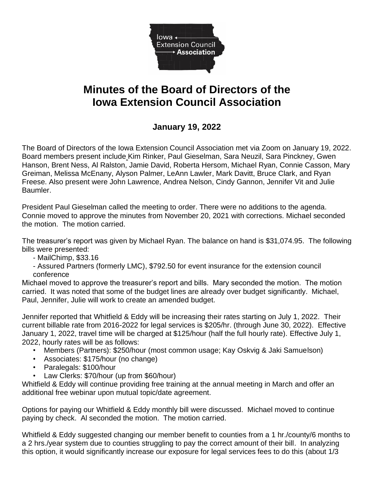

## **Minutes of the Board of Directors of the Iowa Extension Council Association**

## **January 19, 2022**

The Board of Directors of the Iowa Extension Council Association met via Zoom on January 19, 2022. Board members present include Kim Rinker, Paul Gieselman, Sara Neuzil, Sara Pinckney, Gwen Hanson, Brent Ness, Al Ralston, Jamie David, Roberta Hersom, Michael Ryan, Connie Casson, Mary Greiman, Melissa McEnany, Alyson Palmer, LeAnn Lawler, Mark Davitt, Bruce Clark, and Ryan Freese. Also present were John Lawrence, Andrea Nelson, Cindy Gannon, Jennifer Vit and Julie Baumler.

President Paul Gieselman called the meeting to order. There were no additions to the agenda. Connie moved to approve the minutes from November 20, 2021 with corrections. Michael seconded the motion. The motion carried.

The treasurer's report was given by Michael Ryan. The balance on hand is \$31,074.95. The following bills were presented:

- MailChimp, \$33.16
- Assured Partners (formerly LMC), \$792.50 for event insurance for the extension council conference

Michael moved to approve the treasurer's report and bills. Mary seconded the motion. The motion carried. It was noted that some of the budget lines are already over budget significantly. Michael, Paul, Jennifer, Julie will work to create an amended budget.

Jennifer reported that Whitfield & Eddy will be increasing their rates starting on July 1, 2022. Their current billable rate from 2016-2022 for legal services is \$205/hr. (through June 30, 2022). Effective January 1, 2022, travel time will be charged at \$125/hour (half the full hourly rate). Effective July 1, 2022, hourly rates will be as follows:

- Members (Partners): \$250/hour (most common usage; Kay Oskvig & Jaki Samuelson)
- Associates: \$175/hour (no change)
- Paralegals: \$100/hour
- Law Clerks: \$70/hour (up from \$60/hour)

Whitfield & Eddy will continue providing free training at the annual meeting in March and offer an additional free webinar upon mutual topic/date agreement.

Options for paying our Whitfield & Eddy monthly bill were discussed. Michael moved to continue paying by check. Al seconded the motion. The motion carried.

Whitfield & Eddy suggested changing our member benefit to counties from a 1 hr./county/6 months to a 2 hrs./year system due to counties struggling to pay the correct amount of their bill. In analyzing this option, it would significantly increase our exposure for legal services fees to do this (about 1/3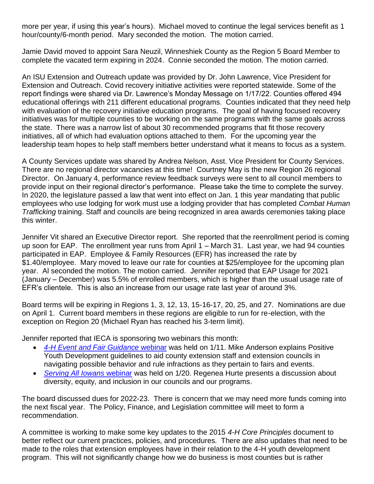more per year, if using this year's hours). Michael moved to continue the legal services benefit as 1 hour/county/6-month period. Mary seconded the motion. The motion carried.

Jamie David moved to appoint Sara Neuzil, Winneshiek County as the Region 5 Board Member to complete the vacated term expiring in 2024. Connie seconded the motion. The motion carried.

An ISU Extension and Outreach update was provided by Dr. John Lawrence, Vice President for Extension and Outreach. Covid recovery initiative activities were reported statewide. Some of the report findings were shared via Dr. Lawrence's Monday Message on 1/17/22. Counties offered 494 educational offerings with 211 different educational programs. Counties indicated that they need help with evaluation of the recovery initiative education programs. The goal of having focused recovery initiatives was for multiple counties to be working on the same programs with the same goals across the state. There was a narrow list of about 30 recommended programs that fit those recovery initiatives, all of which had evaluation options attached to them. For the upcoming year the leadership team hopes to help staff members better understand what it means to focus as a system.

A County Services update was shared by Andrea Nelson, Asst. Vice President for County Services. There are no regional director vacancies at this time! Courtney May is the new Region 26 regional Director. On January 4, performance review feedback surveys were sent to all council members to provide input on their regional director's performance. Please take the time to complete the survey. In 2020, the legislature passed a law that went into effect on Jan. 1 this year mandating that public employees who use lodging for work must use a lodging provider that has completed *Combat Human Trafficking* training. Staff and councils are being recognized in area awards ceremonies taking place this winter.

Jennifer Vit shared an Executive Director report. She reported that the reenrollment period is coming up soon for EAP. The enrollment year runs from April 1 – March 31. Last year, we had 94 counties participated in EAP. Employee & Family Resources (EFR) has increased the rate by \$1.40/employee. Mary moved to leave our rate for counties at \$25/employee for the upcoming plan year. Al seconded the motion. The motion carried. Jennifer reported that EAP Usage for 2021 (January – December) was 5.5% of enrolled members, which is higher than the usual usage rate of EFR's clientele. This is also an increase from our usage rate last year of around 3%.

Board terms will be expiring in Regions 1, 3, 12, 13, 15-16-17, 20, 25, and 27. Nominations are due on April 1. Current board members in these regions are eligible to run for re-election, with the exception on Region 20 (Michael Ryan has reached his 3-term limit).

Jennifer reported that IECA is sponsoring two webinars this month:

- *[4-H Event and Fair Guidance](https://www.iaextensioncouncils.org/behavior-rule-management-fairs-and-events)* webinar was held on 1/11. Mike Anderson explains Positive Youth Development guidelines to aid county extension staff and extension councils in navigating possible behavior and rule infractions as they pertain to fairs and events.
- *[Serving All Iowans](https://vimeo.com/668675716/276ee82a14)* webinar was held on 1/20. Regenea Hurte presents a discussion about diversity, equity, and inclusion in our councils and our programs.

The board discussed dues for 2022-23. There is concern that we may need more funds coming into the next fiscal year. The Policy, Finance, and Legislation committee will meet to form a recommendation.

A committee is working to make some key updates to the 2015 *4-H Core Principles* document to better reflect our current practices, policies, and procedures. There are also updates that need to be made to the roles that extension employees have in their relation to the 4-H youth development program. This will not significantly change how we do business is most counties but is rather